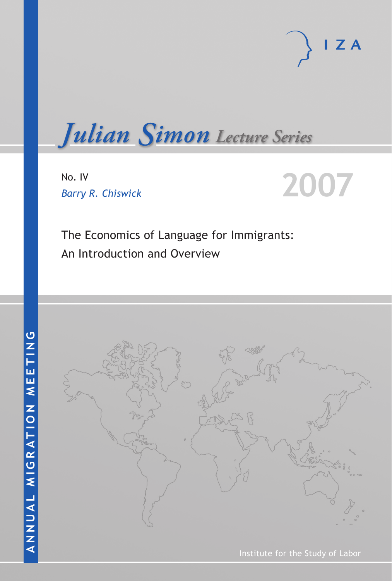*Julian Simon Lecture Series*

No. IV *Barry R. Chiswick* **2007**



*Julian Simon Lecture Series*

The Economics of Language for Immigrants: An Introduction and Overview



Institute for the Study of Labor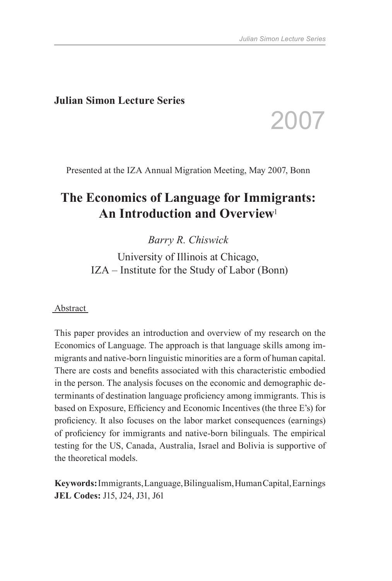# **Julian Simon Lecture Series**



Presented at the IZA Annual Migration Meeting, May 2007, Bonn

# **The Economics of Language for Immigrants: An Introduction and Overview**<sup>1</sup>

*Barry R. Chiswick* 

University of Illinois at Chicago, IZA – Institute for the Study of Labor (Bonn)

# Abstract

This paper provides an introduction and overview of my research on the Economics of Language. The approach is that language skills among immigrants and native-born linguistic minorities are a form of human capital. There are costs and benefits associated with this characteristic embodied in the person. The analysis focuses on the economic and demographic determinants of destination language proficiency among immigrants. This is based on Exposure, Efficiency and Economic Incentives (the three E's) for proficiency. It also focuses on the labor market consequences (earnings) of proficiency for immigrants and native-born bilinguals. The empirical testing for the US, Canada, Australia, Israel and Bolivia is supportive of the theoretical models.

**Keywords:** Immigrants, Language, Bilingualism, Human Capital, Earnings **JEL Codes:** J15, J24, J31, J61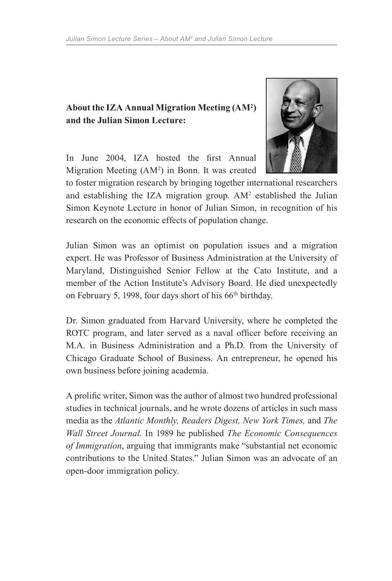# **About the IZA Annual Migration Meeting (AM2 ) and the Julian Simon Lecture:**

In June 2004, IZA hosted the first Annual Migration Meeting  $(AM<sup>2</sup>)$  in Bonn. It was created



to foster migration research by bringing together international researchers and establishing the IZA migration group.  $AM^2$  established the Julian Simon Keynote Lecture in honor of Julian Simon, in recognition of his research on the economic effects of population change.

Julian Simon was an optimist on population issues and a migration expert. He was Professor of Business Administration at the University of Maryland, Distinguished Senior Fellow at the Cato Institute, and a member of the Action Institute's Advisory Board. He died unexpectedly on February 5, 1998, four days short of his 66<sup>th</sup> birthday.

Dr. Simon graduated from Harvard University, where he completed the ROTC program, and later served as a naval officer before receiving an M.A. in Business Administration and a Ph.D. from the University of Chicago Graduate School of Business. An entrepreneur, he opened his own business before joining academia.

A prolific writer, Simon was the author of almost two hundred professional studies in technical journals, and he wrote dozens of articles in such mass media as the *Atlantic Monthly, Readers Digest, New York Times,* and *The Wall Street Journal*. In 1989 he published *The Economic Consequences of Immigration*, arguing that immigrants make "substantial net economic contributions to the United States." Julian Simon was an advocate of an open-door immigration policy.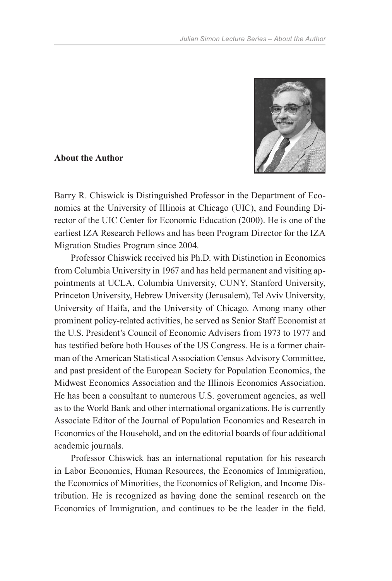

**About the Author**

Barry R. Chiswick is Distinguished Professor in the Department of Economics at the University of Illinois at Chicago (UIC), and Founding Director of the UIC Center for Economic Education (2000). He is one of the earliest IZA Research Fellows and has been Program Director for the IZA Migration Studies Program since 2004.

Professor Chiswick received his Ph.D. with Distinction in Economics from Columbia University in 1967 and has held permanent and visiting appointments at UCLA, Columbia University, CUNY, Stanford University, Princeton University, Hebrew University (Jerusalem), Tel Aviv University, University of Haifa, and the University of Chicago. Among many other prominent policy-related activities, he served as Senior Staff Economist at the U.S. President's Council of Economic Advisers from 1973 to 1977 and has testified before both Houses of the US Congress. He is a former chairman of the American Statistical Association Census Advisory Committee, and past president of the European Society for Population Economics, the Midwest Economics Association and the Illinois Economics Association. He has been a consultant to numerous U.S. government agencies, as well as to the World Bank and other international organizations. He is currently Associate Editor of the Journal of Population Economics and Research in Economics of the Household, and on the editorial boards of four additional academic journals.

Professor Chiswick has an international reputation for his research in Labor Economics, Human Resources, the Economics of Immigration, the Economics of Minorities, the Economics of Religion, and Income Distribution. He is recognized as having done the seminal research on the Economics of Immigration, and continues to be the leader in the field.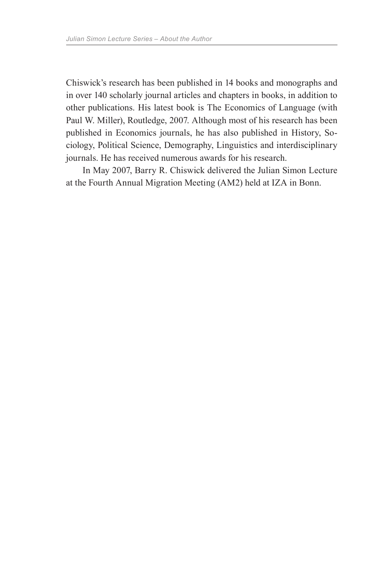Chiswick's research has been published in 14 books and monographs and in over 140 scholarly journal articles and chapters in books, in addition to other publications. His latest book is The Economics of Language (with Paul W. Miller), Routledge, 2007. Although most of his research has been published in Economics journals, he has also published in History, Sociology, Political Science, Demography, Linguistics and interdisciplinary journals. He has received numerous awards for his research.

In May 2007, Barry R. Chiswick delivered the Julian Simon Lecture at the Fourth Annual Migration Meeting (AM2) held at IZA in Bonn.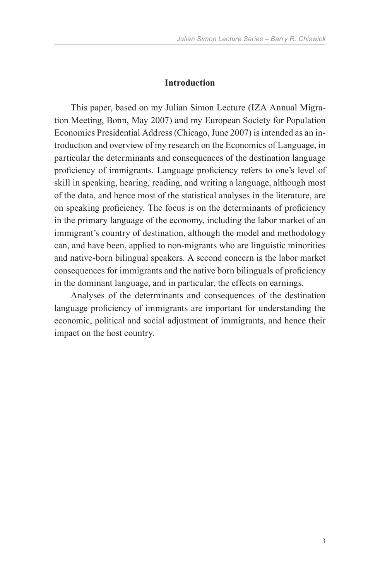#### **Introduction**

This paper, based on my Julian Simon Lecture (IZA Annual Migration Meeting, Bonn, May 2007) and my European Society for Population Economics Presidential Address (Chicago, June 2007) is intended as an introduction and overview of my research on the Economics of Language, in particular the determinants and consequences of the destination language proficiency of immigrants. Language proficiency refers to one's level of skill in speaking, hearing, reading, and writing a language, although most of the data, and hence most of the statistical analyses in the literature, are on speaking proficiency. The focus is on the determinants of proficiency in the primary language of the economy, including the labor market of an immigrant's country of destination, although the model and methodology can, and have been, applied to non-migrants who are linguistic minorities and native-born bilingual speakers. A second concern is the labor market consequences for immigrants and the native born bilinguals of proficiency in the dominant language, and in particular, the effects on earnings.

Analyses of the determinants and consequences of the destination language proficiency of immigrants are important for understanding the economic, political and social adjustment of immigrants, and hence their impact on the host country.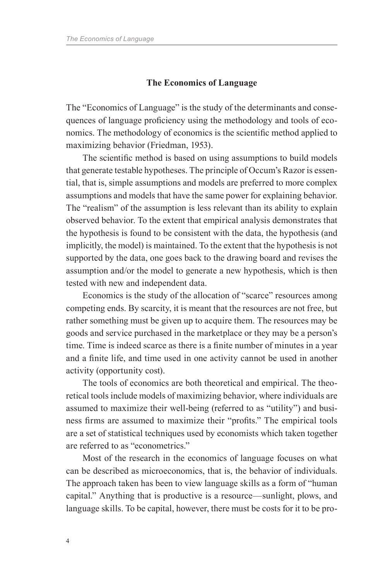### **The Economics of Language**

The "Economics of Language" is the study of the determinants and consequences of language proficiency using the methodology and tools of economics. The methodology of economics is the scientific method applied to maximizing behavior (Friedman, 1953).

The scientific method is based on using assumptions to build models that generate testable hypotheses. The principle of Occum's Razor is essential, that is, simple assumptions and models are preferred to more complex assumptions and models that have the same power for explaining behavior. The "realism" of the assumption is less relevant than its ability to explain observed behavior. To the extent that empirical analysis demonstrates that the hypothesis is found to be consistent with the data, the hypothesis (and implicitly, the model) is maintained. To the extent that the hypothesis is not supported by the data, one goes back to the drawing board and revises the assumption and/or the model to generate a new hypothesis, which is then tested with new and independent data.

Economics is the study of the allocation of "scarce" resources among competing ends. By scarcity, it is meant that the resources are not free, but rather something must be given up to acquire them. The resources may be goods and service purchased in the marketplace or they may be a person's time. Time is indeed scarce as there is a finite number of minutes in a year and a finite life, and time used in one activity cannot be used in another activity (opportunity cost).

The tools of economics are both theoretical and empirical. The theoretical tools include models of maximizing behavior, where individuals are assumed to maximize their well-being (referred to as "utility") and business firms are assumed to maximize their "profits." The empirical tools are a set of statistical techniques used by economists which taken together are referred to as "econometrics."

Most of the research in the economics of language focuses on what can be described as microeconomics, that is, the behavior of individuals. The approach taken has been to view language skills as a form of "human capital." Anything that is productive is a resource—sunlight, plows, and language skills. To be capital, however, there must be costs for it to be pro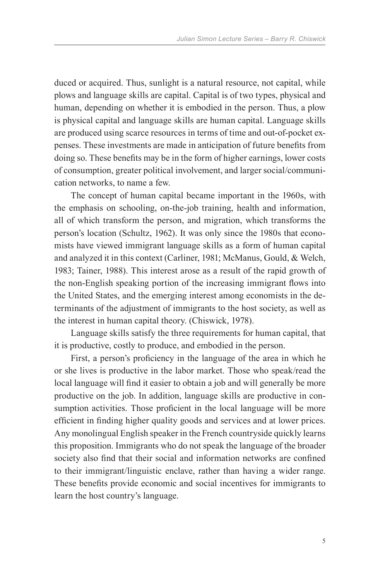duced or acquired. Thus, sunlight is a natural resource, not capital, while plows and language skills are capital. Capital is of two types, physical and human, depending on whether it is embodied in the person. Thus, a plow is physical capital and language skills are human capital. Language skills are produced using scarce resources in terms of time and out-of-pocket expenses. These investments are made in anticipation of future benefits from doing so. These benefits may be in the form of higher earnings, lower costs of consumption, greater political involvement, and larger social/communication networks, to name a few.

The concept of human capital became important in the 1960s, with the emphasis on schooling, on-the-job training, health and information, all of which transform the person, and migration, which transforms the person's location (Schultz, 1962). It was only since the 1980s that economists have viewed immigrant language skills as a form of human capital and analyzed it in this context (Carliner, 1981; McManus, Gould, & Welch, 1983; Tainer, 1988). This interest arose as a result of the rapid growth of the non-English speaking portion of the increasing immigrant flows into the United States, and the emerging interest among economists in the determinants of the adjustment of immigrants to the host society, as well as the interest in human capital theory. (Chiswick, 1978).

Language skills satisfy the three requirements for human capital, that it is productive, costly to produce, and embodied in the person.

First, a person's proficiency in the language of the area in which he or she lives is productive in the labor market. Those who speak/read the local language will find it easier to obtain a job and will generally be more productive on the job. In addition, language skills are productive in consumption activities. Those proficient in the local language will be more efficient in finding higher quality goods and services and at lower prices. Any monolingual English speaker in the French countryside quickly learns this proposition. Immigrants who do not speak the language of the broader society also find that their social and information networks are confined to their immigrant/linguistic enclave, rather than having a wider range. These benefits provide economic and social incentives for immigrants to learn the host country's language.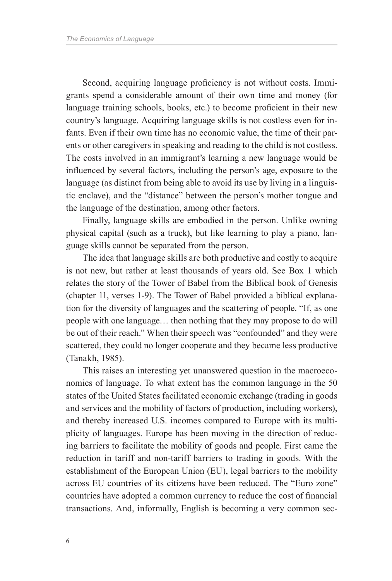Second, acquiring language proficiency is not without costs. Immigrants spend a considerable amount of their own time and money (for language training schools, books, etc.) to become proficient in their new country's language. Acquiring language skills is not costless even for infants. Even if their own time has no economic value, the time of their parents or other caregivers in speaking and reading to the child is not costless. The costs involved in an immigrant's learning a new language would be influenced by several factors, including the person's age, exposure to the language (as distinct from being able to avoid its use by living in a linguistic enclave), and the "distance" between the person's mother tongue and the language of the destination, among other factors.

Finally, language skills are embodied in the person. Unlike owning physical capital (such as a truck), but like learning to play a piano, language skills cannot be separated from the person.

The idea that language skills are both productive and costly to acquire is not new, but rather at least thousands of years old. See Box 1 which relates the story of the Tower of Babel from the Biblical book of Genesis (chapter 11, verses 1-9). The Tower of Babel provided a biblical explanation for the diversity of languages and the scattering of people. "If, as one people with one language… then nothing that they may propose to do will be out of their reach." When their speech was "confounded" and they were scattered, they could no longer cooperate and they became less productive (Tanakh, 1985).

This raises an interesting yet unanswered question in the macroeconomics of language. To what extent has the common language in the 50 states of the United States facilitated economic exchange (trading in goods and services and the mobility of factors of production, including workers), and thereby increased U.S. incomes compared to Europe with its multiplicity of languages. Europe has been moving in the direction of reducing barriers to facilitate the mobility of goods and people. First came the reduction in tariff and non-tariff barriers to trading in goods. With the establishment of the European Union (EU), legal barriers to the mobility across EU countries of its citizens have been reduced. The "Euro zone" countries have adopted a common currency to reduce the cost of financial transactions. And, informally, English is becoming a very common sec-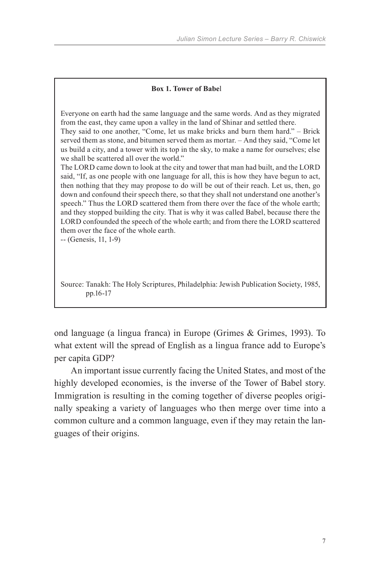#### **Box 1. Tower of Babe**l

Everyone on earth had the same language and the same words. And as they migrated from the east, they came upon a valley in the land of Shinar and settled there.

They said to one another, "Come, let us make bricks and burn them hard." – Brick served them as stone, and bitumen served them as mortar. – And they said, "Come let us build a city, and a tower with its top in the sky, to make a name for ourselves; else we shall be scattered all over the world."

The LORD came down to look at the city and tower that man had built, and the LORD said, "If, as one people with one language for all, this is how they have begun to act, then nothing that they may propose to do will be out of their reach. Let us, then, go down and confound their speech there, so that they shall not understand one another's speech." Thus the LORD scattered them from there over the face of the whole earth; and they stopped building the city. That is why it was called Babel, because there the LORD confounded the speech of the whole earth; and from there the LORD scattered them over the face of the whole earth.

-- (Genesis, 11, 1-9)

Source: Tanakh: The Holy Scriptures, Philadelphia: Jewish Publication Society, 1985, pp.16-17

ond language (a lingua franca) in Europe (Grimes & Grimes, 1993). To what extent will the spread of English as a lingua france add to Europe's per capita GDP?

An important issue currently facing the United States, and most of the highly developed economies, is the inverse of the Tower of Babel story. Immigration is resulting in the coming together of diverse peoples originally speaking a variety of languages who then merge over time into a common culture and a common language, even if they may retain the languages of their origins.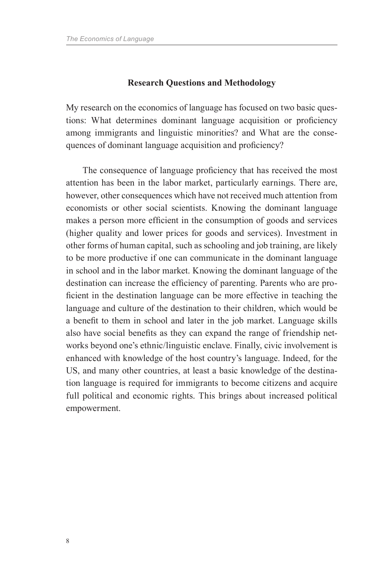### **Research Questions and Methodology**

My research on the economics of language has focused on two basic questions: What determines dominant language acquisition or proficiency among immigrants and linguistic minorities? and What are the consequences of dominant language acquisition and proficiency?

The consequence of language proficiency that has received the most attention has been in the labor market, particularly earnings. There are, however, other consequences which have not received much attention from economists or other social scientists. Knowing the dominant language makes a person more efficient in the consumption of goods and services (higher quality and lower prices for goods and services). Investment in other forms of human capital, such as schooling and job training, are likely to be more productive if one can communicate in the dominant language in school and in the labor market. Knowing the dominant language of the destination can increase the efficiency of parenting. Parents who are proficient in the destination language can be more effective in teaching the language and culture of the destination to their children, which would be a benefit to them in school and later in the job market. Language skills also have social benefits as they can expand the range of friendship networks beyond one's ethnic/linguistic enclave. Finally, civic involvement is enhanced with knowledge of the host country's language. Indeed, for the US, and many other countries, at least a basic knowledge of the destination language is required for immigrants to become citizens and acquire full political and economic rights. This brings about increased political empowerment.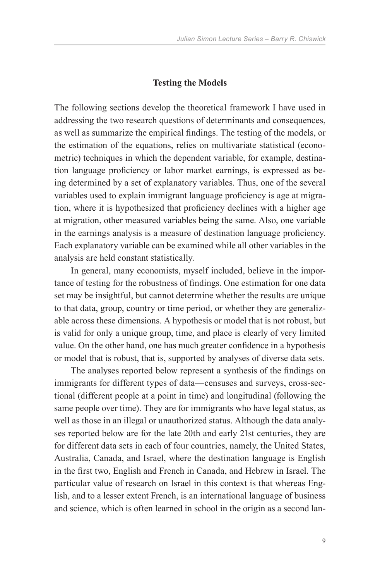### **Testing the Models**

The following sections develop the theoretical framework I have used in addressing the two research questions of determinants and consequences, as well as summarize the empirical findings. The testing of the models, or the estimation of the equations, relies on multivariate statistical (econometric) techniques in which the dependent variable, for example, destination language proficiency or labor market earnings, is expressed as being determined by a set of explanatory variables. Thus, one of the several variables used to explain immigrant language proficiency is age at migration, where it is hypothesized that proficiency declines with a higher age at migration, other measured variables being the same. Also, one variable in the earnings analysis is a measure of destination language proficiency. Each explanatory variable can be examined while all other variables in the analysis are held constant statistically.

In general, many economists, myself included, believe in the importance of testing for the robustness of findings. One estimation for one data set may be insightful, but cannot determine whether the results are unique to that data, group, country or time period, or whether they are generalizable across these dimensions. A hypothesis or model that is not robust, but is valid for only a unique group, time, and place is clearly of very limited value. On the other hand, one has much greater confidence in a hypothesis or model that is robust, that is, supported by analyses of diverse data sets.

The analyses reported below represent a synthesis of the findings on immigrants for different types of data—censuses and surveys, cross-sectional (different people at a point in time) and longitudinal (following the same people over time). They are for immigrants who have legal status, as well as those in an illegal or unauthorized status. Although the data analyses reported below are for the late 20th and early 21st centuries, they are for different data sets in each of four countries, namely, the United States, Australia, Canada, and Israel, where the destination language is English in the first two, English and French in Canada, and Hebrew in Israel. The particular value of research on Israel in this context is that whereas English, and to a lesser extent French, is an international language of business and science, which is often learned in school in the origin as a second lan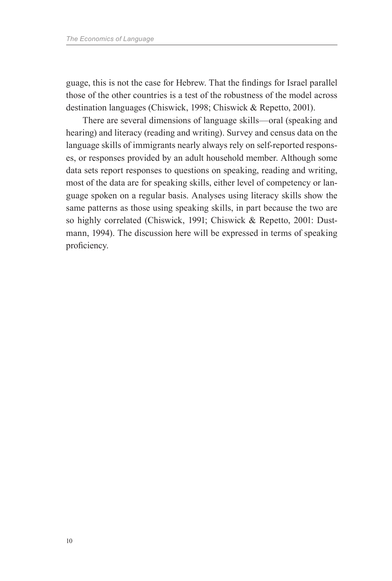guage, this is not the case for Hebrew. That the findings for Israel parallel those of the other countries is a test of the robustness of the model across destination languages (Chiswick, 1998; Chiswick & Repetto, 2001).

There are several dimensions of language skills—oral (speaking and hearing) and literacy (reading and writing). Survey and census data on the language skills of immigrants nearly always rely on self-reported responses, or responses provided by an adult household member. Although some data sets report responses to questions on speaking, reading and writing, most of the data are for speaking skills, either level of competency or language spoken on a regular basis. Analyses using literacy skills show the same patterns as those using speaking skills, in part because the two are so highly correlated (Chiswick, 1991; Chiswick & Repetto, 2001: Dustmann, 1994). The discussion here will be expressed in terms of speaking proficiency.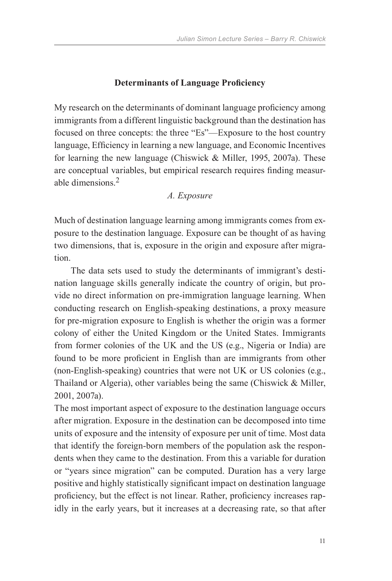# **Determinants of Language Proficiency**

My research on the determinants of dominant language proficiency among immigrants from a different linguistic background than the destination has focused on three concepts: the three "Es"—Exposure to the host country language, Efficiency in learning a new language, and Economic Incentives for learning the new language (Chiswick & Miller, 1995, 2007a). These are conceptual variables, but empirical research requires finding measurable dimensions.2

# *A. Exposure*

Much of destination language learning among immigrants comes from exposure to the destination language. Exposure can be thought of as having two dimensions, that is, exposure in the origin and exposure after migration.

The data sets used to study the determinants of immigrant's destination language skills generally indicate the country of origin, but provide no direct information on pre-immigration language learning. When conducting research on English-speaking destinations, a proxy measure for pre-migration exposure to English is whether the origin was a former colony of either the United Kingdom or the United States. Immigrants from former colonies of the UK and the US (e.g., Nigeria or India) are found to be more proficient in English than are immigrants from other (non-English-speaking) countries that were not UK or US colonies (e.g., Thailand or Algeria), other variables being the same (Chiswick & Miller, 2001, 2007a).

The most important aspect of exposure to the destination language occurs after migration. Exposure in the destination can be decomposed into time units of exposure and the intensity of exposure per unit of time. Most data that identify the foreign-born members of the population ask the respondents when they came to the destination. From this a variable for duration or "years since migration" can be computed. Duration has a very large positive and highly statistically significant impact on destination language proficiency, but the effect is not linear. Rather, proficiency increases rapidly in the early years, but it increases at a decreasing rate, so that after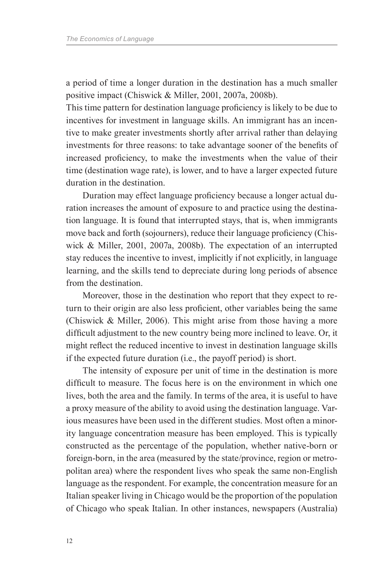a period of time a longer duration in the destination has a much smaller positive impact (Chiswick & Miller, 2001, 2007a, 2008b).

This time pattern for destination language proficiency is likely to be due to incentives for investment in language skills. An immigrant has an incentive to make greater investments shortly after arrival rather than delaying investments for three reasons: to take advantage sooner of the benefits of increased proficiency, to make the investments when the value of their time (destination wage rate), is lower, and to have a larger expected future duration in the destination.

Duration may effect language proficiency because a longer actual duration increases the amount of exposure to and practice using the destination language. It is found that interrupted stays, that is, when immigrants move back and forth (sojourners), reduce their language proficiency (Chiswick & Miller, 2001, 2007a, 2008b). The expectation of an interrupted stay reduces the incentive to invest, implicitly if not explicitly, in language learning, and the skills tend to depreciate during long periods of absence from the destination.

Moreover, those in the destination who report that they expect to return to their origin are also less proficient, other variables being the same (Chiswick & Miller, 2006). This might arise from those having a more difficult adjustment to the new country being more inclined to leave. Or, it might reflect the reduced incentive to invest in destination language skills if the expected future duration (i.e., the payoff period) is short.

The intensity of exposure per unit of time in the destination is more difficult to measure. The focus here is on the environment in which one lives, both the area and the family. In terms of the area, it is useful to have a proxy measure of the ability to avoid using the destination language. Various measures have been used in the different studies. Most often a minority language concentration measure has been employed. This is typically constructed as the percentage of the population, whether native-born or foreign-born, in the area (measured by the state/province, region or metropolitan area) where the respondent lives who speak the same non-English language as the respondent. For example, the concentration measure for an Italian speaker living in Chicago would be the proportion of the population of Chicago who speak Italian. In other instances, newspapers (Australia)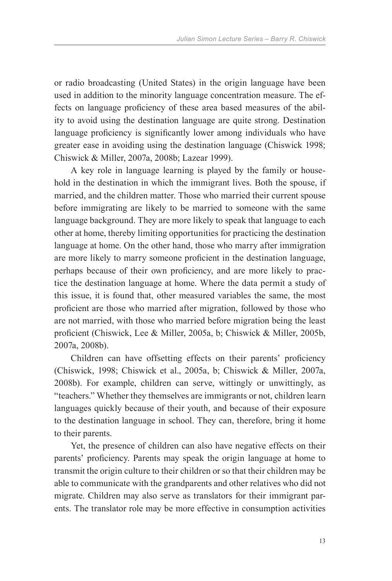or radio broadcasting (United States) in the origin language have been used in addition to the minority language concentration measure. The effects on language proficiency of these area based measures of the ability to avoid using the destination language are quite strong. Destination language proficiency is significantly lower among individuals who have greater ease in avoiding using the destination language (Chiswick 1998; Chiswick & Miller, 2007a, 2008b; Lazear 1999).

A key role in language learning is played by the family or household in the destination in which the immigrant lives. Both the spouse, if married, and the children matter. Those who married their current spouse before immigrating are likely to be married to someone with the same language background. They are more likely to speak that language to each other at home, thereby limiting opportunities for practicing the destination language at home. On the other hand, those who marry after immigration are more likely to marry someone proficient in the destination language, perhaps because of their own proficiency, and are more likely to practice the destination language at home. Where the data permit a study of this issue, it is found that, other measured variables the same, the most proficient are those who married after migration, followed by those who are not married, with those who married before migration being the least proficient (Chiswick, Lee & Miller, 2005a, b; Chiswick & Miller, 2005b, 2007a, 2008b).

Children can have offsetting effects on their parents' proficiency (Chiswick, 1998; Chiswick et al., 2005a, b; Chiswick & Miller, 2007a, 2008b). For example, children can serve, wittingly or unwittingly, as "teachers." Whether they themselves are immigrants or not, children learn languages quickly because of their youth, and because of their exposure to the destination language in school. They can, therefore, bring it home to their parents.

Yet, the presence of children can also have negative effects on their parents' proficiency. Parents may speak the origin language at home to transmit the origin culture to their children or so that their children may be able to communicate with the grandparents and other relatives who did not migrate. Children may also serve as translators for their immigrant parents. The translator role may be more effective in consumption activities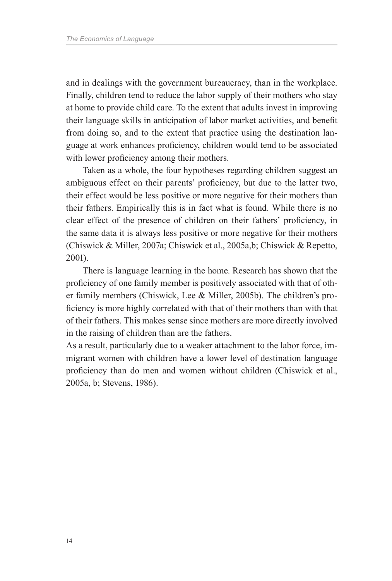and in dealings with the government bureaucracy, than in the workplace. Finally, children tend to reduce the labor supply of their mothers who stay at home to provide child care. To the extent that adults invest in improving their language skills in anticipation of labor market activities, and benefit from doing so, and to the extent that practice using the destination language at work enhances proficiency, children would tend to be associated with lower proficiency among their mothers.

Taken as a whole, the four hypotheses regarding children suggest an ambiguous effect on their parents' proficiency, but due to the latter two, their effect would be less positive or more negative for their mothers than their fathers. Empirically this is in fact what is found. While there is no clear effect of the presence of children on their fathers' proficiency, in the same data it is always less positive or more negative for their mothers (Chiswick & Miller, 2007a; Chiswick et al., 2005a,b; Chiswick & Repetto, 2001).

There is language learning in the home. Research has shown that the proficiency of one family member is positively associated with that of other family members (Chiswick, Lee & Miller, 2005b). The children's proficiency is more highly correlated with that of their mothers than with that of their fathers. This makes sense since mothers are more directly involved in the raising of children than are the fathers.

As a result, particularly due to a weaker attachment to the labor force, immigrant women with children have a lower level of destination language proficiency than do men and women without children (Chiswick et al., 2005a, b; Stevens, 1986).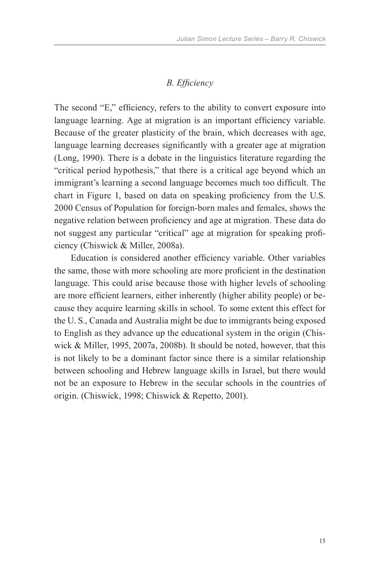# *B. Efficiency*

The second "E," efficiency, refers to the ability to convert exposure into language learning. Age at migration is an important efficiency variable. Because of the greater plasticity of the brain, which decreases with age, language learning decreases significantly with a greater age at migration (Long, 1990). There is a debate in the linguistics literature regarding the "critical period hypothesis," that there is a critical age beyond which an immigrant's learning a second language becomes much too difficult. The chart in Figure 1, based on data on speaking proficiency from the U.S. 2000 Census of Population for foreign-born males and females, shows the negative relation between proficiency and age at migration. These data do not suggest any particular "critical" age at migration for speaking proficiency (Chiswick & Miller, 2008a).

Education is considered another efficiency variable. Other variables the same, those with more schooling are more proficient in the destination language. This could arise because those with higher levels of schooling are more efficient learners, either inherently (higher ability people) or because they acquire learning skills in school. To some extent this effect for the U. S., Canada and Australia might be due to immigrants being exposed to English as they advance up the educational system in the origin (Chiswick & Miller, 1995, 2007a, 2008b). It should be noted, however, that this is not likely to be a dominant factor since there is a similar relationship between schooling and Hebrew language skills in Israel, but there would not be an exposure to Hebrew in the secular schools in the countries of origin. (Chiswick, 1998; Chiswick & Repetto, 2001).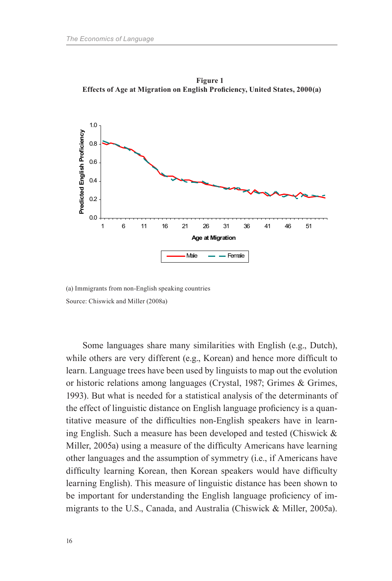

**Figure 1 Effects of Age at Migration on English Proficiency, United States, 2000(a)**

(a) Immigrants from non-English speaking countries Source: Chiswick and Miller (2008a)

27 or historic relations among languages (Crystal, 1987; Grimes & Grimes, Some languages share many similarities with English (e.g., Dutch), while others are very different (e.g., Korean) and hence more difficult to learn. Language trees have been used by linguists to map out the evolution 1993). But what is needed for a statistical analysis of the determinants of the effect of linguistic distance on English language proficiency is a quantitative measure of the difficulties non-English speakers have in learning English. Such a measure has been developed and tested (Chiswick & Miller, 2005a) using a measure of the difficulty Americans have learning other languages and the assumption of symmetry (i.e., if Americans have difficulty learning Korean, then Korean speakers would have difficulty learning English). This measure of linguistic distance has been shown to be important for understanding the English language proficiency of immigrants to the U.S., Canada, and Australia (Chiswick & Miller, 2005a).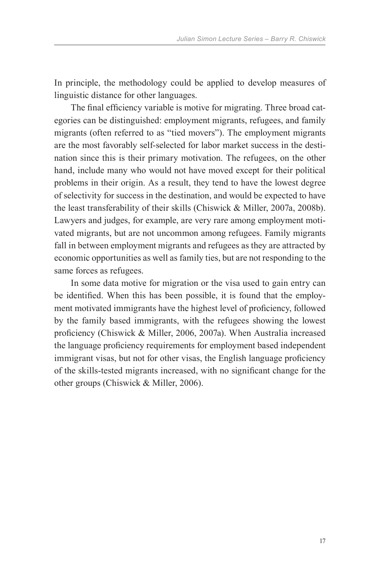In principle, the methodology could be applied to develop measures of linguistic distance for other languages.

The final efficiency variable is motive for migrating. Three broad categories can be distinguished: employment migrants, refugees, and family migrants (often referred to as "tied movers"). The employment migrants are the most favorably self-selected for labor market success in the destination since this is their primary motivation. The refugees, on the other hand, include many who would not have moved except for their political problems in their origin. As a result, they tend to have the lowest degree of selectivity for success in the destination, and would be expected to have the least transferability of their skills (Chiswick & Miller, 2007a, 2008b). Lawyers and judges, for example, are very rare among employment motivated migrants, but are not uncommon among refugees. Family migrants fall in between employment migrants and refugees as they are attracted by economic opportunities as well as family ties, but are not responding to the same forces as refugees.

In some data motive for migration or the visa used to gain entry can be identified. When this has been possible, it is found that the employment motivated immigrants have the highest level of proficiency, followed by the family based immigrants, with the refugees showing the lowest proficiency (Chiswick & Miller, 2006, 2007a). When Australia increased the language proficiency requirements for employment based independent immigrant visas, but not for other visas, the English language proficiency of the skills-tested migrants increased, with no significant change for the other groups (Chiswick & Miller, 2006).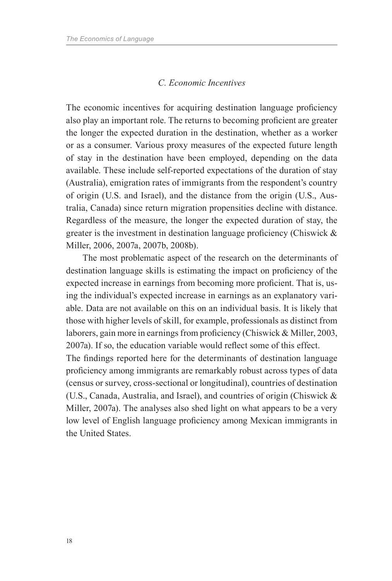# *C. Economic Incentives*

The economic incentives for acquiring destination language proficiency also play an important role. The returns to becoming proficient are greater the longer the expected duration in the destination, whether as a worker or as a consumer. Various proxy measures of the expected future length of stay in the destination have been employed, depending on the data available. These include self-reported expectations of the duration of stay (Australia), emigration rates of immigrants from the respondent's country of origin (U.S. and Israel), and the distance from the origin (U.S., Australia, Canada) since return migration propensities decline with distance. Regardless of the measure, the longer the expected duration of stay, the greater is the investment in destination language proficiency (Chiswick & Miller, 2006, 2007a, 2007b, 2008b).

The most problematic aspect of the research on the determinants of destination language skills is estimating the impact on proficiency of the expected increase in earnings from becoming more proficient. That is, using the individual's expected increase in earnings as an explanatory variable. Data are not available on this on an individual basis. It is likely that those with higher levels of skill, for example, professionals as distinct from laborers, gain more in earnings from proficiency (Chiswick & Miller, 2003, 2007a). If so, the education variable would reflect some of this effect.

The findings reported here for the determinants of destination language proficiency among immigrants are remarkably robust across types of data (census or survey, cross-sectional or longitudinal), countries of destination (U.S., Canada, Australia, and Israel), and countries of origin (Chiswick & Miller, 2007a). The analyses also shed light on what appears to be a very low level of English language proficiency among Mexican immigrants in the United States.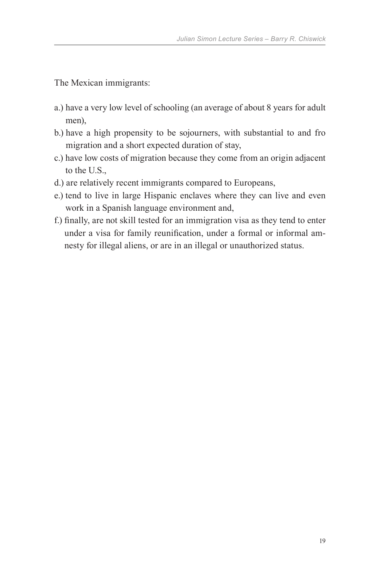The Mexican immigrants:

- a.) have a very low level of schooling (an average of about 8 years for adult men)
- b.) have a high propensity to be sojourners, with substantial to and fro migration and a short expected duration of stay,
- c.) have low costs of migration because they come from an origin adjacent to the U.S.,
- d.) are relatively recent immigrants compared to Europeans,
- e.) tend to live in large Hispanic enclaves where they can live and even work in a Spanish language environment and,
- f.) finally, are not skill tested for an immigration visa as they tend to enter under a visa for family reunification, under a formal or informal amnesty for illegal aliens, or are in an illegal or unauthorized status.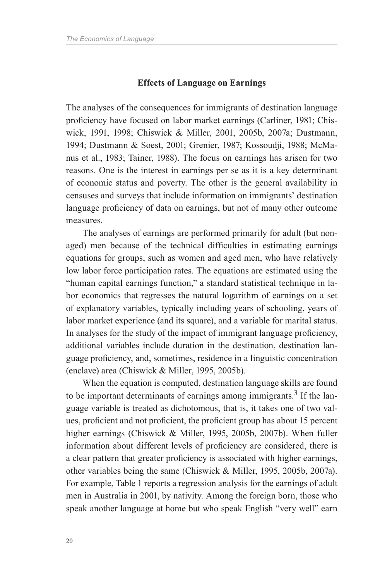# **Effects of Language on Earnings**

The analyses of the consequences for immigrants of destination language proficiency have focused on labor market earnings (Carliner, 1981; Chiswick, 1991, 1998; Chiswick & Miller, 2001, 2005b, 2007a; Dustmann, 1994; Dustmann & Soest, 2001; Grenier, 1987; Kossoudji, 1988; McManus et al., 1983; Tainer, 1988). The focus on earnings has arisen for two reasons. One is the interest in earnings per se as it is a key determinant of economic status and poverty. The other is the general availability in censuses and surveys that include information on immigrants' destination language proficiency of data on earnings, but not of many other outcome measures.

The analyses of earnings are performed primarily for adult (but nonaged) men because of the technical difficulties in estimating earnings equations for groups, such as women and aged men, who have relatively low labor force participation rates. The equations are estimated using the "human capital earnings function," a standard statistical technique in labor economics that regresses the natural logarithm of earnings on a set of explanatory variables, typically including years of schooling, years of labor market experience (and its square), and a variable for marital status. In analyses for the study of the impact of immigrant language proficiency, additional variables include duration in the destination, destination language proficiency, and, sometimes, residence in a linguistic concentration (enclave) area (Chiswick & Miller, 1995, 2005b).

When the equation is computed, destination language skills are found to be important determinants of earnings among immigrants.<sup>3</sup> If the language variable is treated as dichotomous, that is, it takes one of two values, proficient and not proficient, the proficient group has about 15 percent higher earnings (Chiswick & Miller, 1995, 2005b, 2007b). When fuller information about different levels of proficiency are considered, there is a clear pattern that greater proficiency is associated with higher earnings, other variables being the same (Chiswick & Miller, 1995, 2005b, 2007a). For example, Table 1 reports a regression analysis for the earnings of adult men in Australia in 2001, by nativity. Among the foreign born, those who speak another language at home but who speak English "very well" earn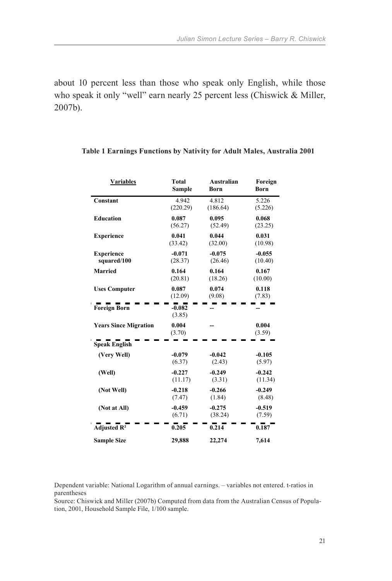about 10 percent less than those who speak only English, while those who speak it only "well" earn nearly 25 percent less (Chiswick & Miller, 2007b).

| <b>Variables</b>             | <b>Total</b>       | <b>Australian</b> | Foreign         |
|------------------------------|--------------------|-------------------|-----------------|
|                              | Sample             | <b>Born</b>       | Born            |
| Constant                     | 4.942              | 4.812             | 5.226           |
|                              | (220.29)           | (186.64)          | (5.226)         |
| <b>Education</b>             | 0.087              | 0.095             | 0.068           |
|                              | (56.27)            | (52.49)           | (23.25)         |
| <b>Experience</b>            | 0.041              | 0.044             | 0.031           |
|                              | (33.42)            | (32.00)           | (10.98)         |
| <b>Experience</b>            | $-0.071$           | $-0.075$          | $-0.055$        |
| squared/100                  | (28.37)            | (26.46)           | (10.40)         |
| Married                      | 0.164              | 0.164             | 0.167           |
|                              | (20.81)            | (18.26)           | (10.00)         |
| <b>Uses Computer</b>         | 0.087              | 0.074             | 0.118           |
|                              | (12.09)            | (9.08)            | (7.83)          |
| <b>Foreign Born</b>          | $-0.082$<br>(3.85) |                   |                 |
| <b>Years Since Migration</b> | 0.004<br>(3.70)    |                   | 0.004<br>(3.59) |
| <b>Speak English</b>         |                    |                   |                 |
| (Very Well)                  | $-0.079$           | $-0.042$          | $-0.105$        |
|                              | (6.37)             | (2.43)            | (5.97)          |
| (Well)                       | $-0.227$           | $-0.249$          | $-0.242$        |
|                              | (11.17)            | (3.31)            | (11.34)         |
| (Not Well)                   | $-0.218$           | $-0.266$          | $-0.249$        |
|                              | (7.47)             | (1.84)            | (8.48)          |
| (Not at All)                 | $-0.459$           | $-0.275$          | $-0.519$        |
|                              | (6.71)             | (38.24)           | (7.59)          |
| Adjusted $\mathbb{R}^2$      | 0.205              | 0.214             | 0.187           |
| <b>Sample Size</b>           | 29,888             | 22,274            | 7,614           |

**Table 1 Earnings Functions by Nativity for Adult Males, Australia 2001**

.<br>Dependent variable: National Logarithm of annual earnings. – variables not entered. t-ratios in parentheses

Source: Chiswick and Miller (2007b) Computed from data from the Australian Census of Population, 2001, Household Sample File, 1/100 sample.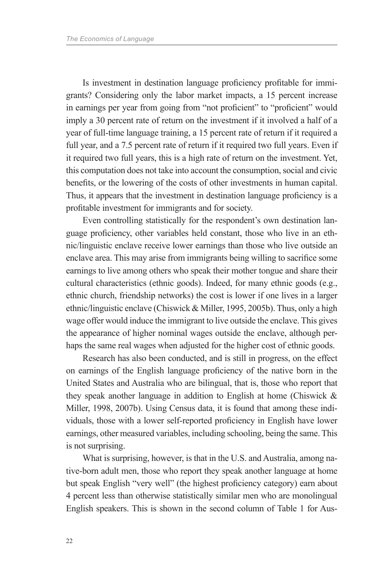Is investment in destination language proficiency profitable for immigrants? Considering only the labor market impacts, a 15 percent increase in earnings per year from going from "not proficient" to "proficient" would imply a 30 percent rate of return on the investment if it involved a half of a year of full-time language training, a 15 percent rate of return if it required a full year, and a 7.5 percent rate of return if it required two full years. Even if it required two full years, this is a high rate of return on the investment. Yet, this computation does not take into account the consumption, social and civic benefits, or the lowering of the costs of other investments in human capital. Thus, it appears that the investment in destination language proficiency is a profitable investment for immigrants and for society.

Even controlling statistically for the respondent's own destination language proficiency, other variables held constant, those who live in an ethnic/linguistic enclave receive lower earnings than those who live outside an enclave area. This may arise from immigrants being willing to sacrifice some earnings to live among others who speak their mother tongue and share their cultural characteristics (ethnic goods). Indeed, for many ethnic goods (e.g., ethnic church, friendship networks) the cost is lower if one lives in a larger ethnic/linguistic enclave (Chiswick & Miller, 1995, 2005b). Thus, only a high wage offer would induce the immigrant to live outside the enclave. This gives the appearance of higher nominal wages outside the enclave, although perhaps the same real wages when adjusted for the higher cost of ethnic goods.

Research has also been conducted, and is still in progress, on the effect on earnings of the English language proficiency of the native born in the United States and Australia who are bilingual, that is, those who report that they speak another language in addition to English at home (Chiswick & Miller, 1998, 2007b). Using Census data, it is found that among these individuals, those with a lower self-reported proficiency in English have lower earnings, other measured variables, including schooling, being the same. This is not surprising.

What is surprising, however, is that in the U.S. and Australia, among native-born adult men, those who report they speak another language at home but speak English "very well" (the highest proficiency category) earn about 4 percent less than otherwise statistically similar men who are monolingual English speakers. This is shown in the second column of Table 1 for Aus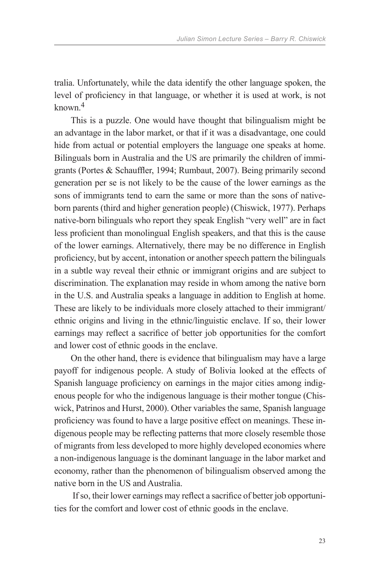tralia. Unfortunately, while the data identify the other language spoken, the level of proficiency in that language, or whether it is used at work, is not  $k$ nown<sup>4</sup>

This is a puzzle. One would have thought that bilingualism might be an advantage in the labor market, or that if it was a disadvantage, one could hide from actual or potential employers the language one speaks at home. Bilinguals born in Australia and the US are primarily the children of immigrants (Portes & Schauffler, 1994; Rumbaut, 2007). Being primarily second generation per se is not likely to be the cause of the lower earnings as the sons of immigrants tend to earn the same or more than the sons of nativeborn parents (third and higher generation people) (Chiswick, 1977). Perhaps native-born bilinguals who report they speak English "very well" are in fact less proficient than monolingual English speakers, and that this is the cause of the lower earnings. Alternatively, there may be no difference in English proficiency, but by accent, intonation or another speech pattern the bilinguals in a subtle way reveal their ethnic or immigrant origins and are subject to discrimination. The explanation may reside in whom among the native born in the U.S. and Australia speaks a language in addition to English at home. These are likely to be individuals more closely attached to their immigrant/ ethnic origins and living in the ethnic/linguistic enclave. If so, their lower earnings may reflect a sacrifice of better job opportunities for the comfort and lower cost of ethnic goods in the enclave.

On the other hand, there is evidence that bilingualism may have a large payoff for indigenous people. A study of Bolivia looked at the effects of Spanish language proficiency on earnings in the major cities among indigenous people for who the indigenous language is their mother tongue (Chiswick, Patrinos and Hurst, 2000). Other variables the same, Spanish language proficiency was found to have a large positive effect on meanings. These indigenous people may be reflecting patterns that more closely resemble those of migrants from less developed to more highly developed economies where a non-indigenous language is the dominant language in the labor market and economy, rather than the phenomenon of bilingualism observed among the native born in the US and Australia.

 If so, their lower earnings may reflect a sacrifice of better job opportunities for the comfort and lower cost of ethnic goods in the enclave.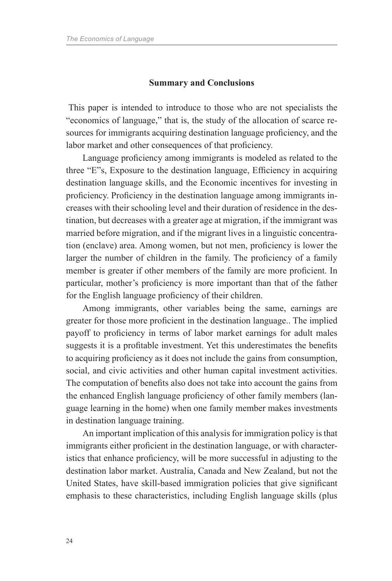### **Summary and Conclusions**

This paper is intended to introduce to those who are not specialists the "economics of language," that is, the study of the allocation of scarce resources for immigrants acquiring destination language proficiency, and the labor market and other consequences of that proficiency.

Language proficiency among immigrants is modeled as related to the three "E"s, Exposure to the destination language, Efficiency in acquiring destination language skills, and the Economic incentives for investing in proficiency. Proficiency in the destination language among immigrants increases with their schooling level and their duration of residence in the destination, but decreases with a greater age at migration, if the immigrant was married before migration, and if the migrant lives in a linguistic concentration (enclave) area. Among women, but not men, proficiency is lower the larger the number of children in the family. The proficiency of a family member is greater if other members of the family are more proficient. In particular, mother's proficiency is more important than that of the father for the English language proficiency of their children.

Among immigrants, other variables being the same, earnings are greater for those more proficient in the destination language.. The implied payoff to proficiency in terms of labor market earnings for adult males suggests it is a profitable investment. Yet this underestimates the benefits to acquiring proficiency as it does not include the gains from consumption, social, and civic activities and other human capital investment activities. The computation of benefits also does not take into account the gains from the enhanced English language proficiency of other family members (language learning in the home) when one family member makes investments in destination language training.

An important implication of this analysis for immigration policy is that immigrants either proficient in the destination language, or with characteristics that enhance proficiency, will be more successful in adjusting to the destination labor market. Australia, Canada and New Zealand, but not the United States, have skill-based immigration policies that give significant emphasis to these characteristics, including English language skills (plus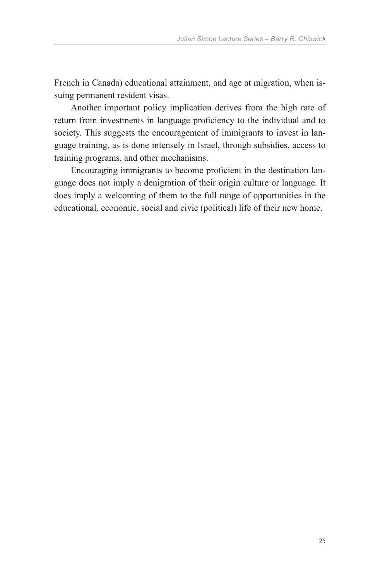French in Canada) educational attainment, and age at migration, when issuing permanent resident visas.

Another important policy implication derives from the high rate of return from investments in language proficiency to the individual and to society. This suggests the encouragement of immigrants to invest in language training, as is done intensely in Israel, through subsidies, access to training programs, and other mechanisms.

Encouraging immigrants to become proficient in the destination language does not imply a denigration of their origin culture or language. It does imply a welcoming of them to the full range of opportunities in the educational, economic, social and civic (political) life of their new home.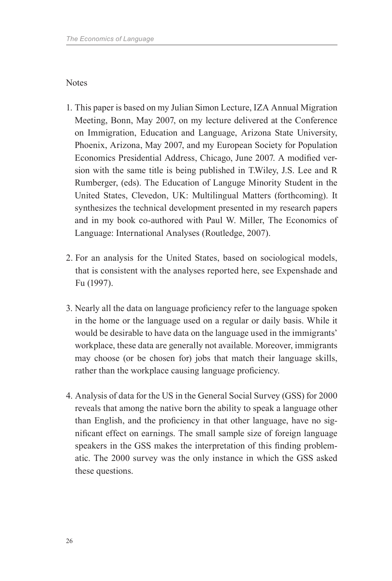# Notes

- 1. This paper is based on my Julian Simon Lecture, IZA Annual Migration Meeting, Bonn, May 2007, on my lecture delivered at the Conference on Immigration, Education and Language, Arizona State University, Phoenix, Arizona, May 2007, and my European Society for Population Economics Presidential Address, Chicago, June 2007. A modified version with the same title is being published in T.Wiley, J.S. Lee and R Rumberger, (eds). The Education of Languge Minority Student in the United States, Clevedon, UK: Multilingual Matters (forthcoming). It synthesizes the technical development presented in my research papers and in my book co-authored with Paul W. Miller, The Economics of Language: International Analyses (Routledge, 2007).
- 2. For an analysis for the United States, based on sociological models, that is consistent with the analyses reported here, see Expenshade and Fu (1997).
- 3. Nearly all the data on language proficiency refer to the language spoken in the home or the language used on a regular or daily basis. While it would be desirable to have data on the language used in the immigrants' workplace, these data are generally not available. Moreover, immigrants may choose (or be chosen for) jobs that match their language skills, rather than the workplace causing language proficiency.
- 4. Analysis of data for the US in the General Social Survey (GSS) for 2000 reveals that among the native born the ability to speak a language other than English, and the proficiency in that other language, have no significant effect on earnings. The small sample size of foreign language speakers in the GSS makes the interpretation of this finding problematic. The 2000 survey was the only instance in which the GSS asked these questions.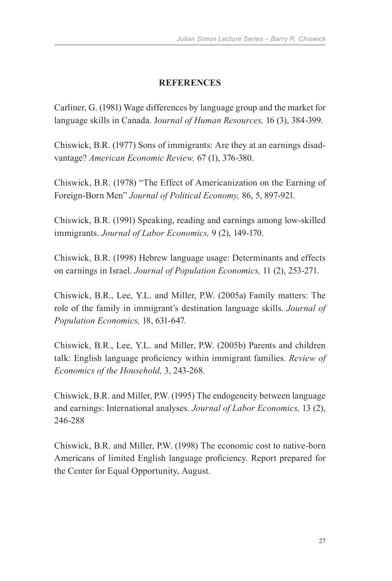# **REFERENCES**

Carliner, G. (1981) Wage differences by language group and the market for language skills in Canada. J*ournal of Human Resources,* 16 (3), 384-399.

Chiswick, B.R. (1977) Sons of immigrants: Are they at an earnings disadvantage? *American Economic Review,* 67 (1), 376-380.

Chiswick, B.R. (1978) "The Effect of Americanization on the Earning of Foreign-Born Men" *Journal of Political Economy,* 86, 5, 897-921.

Chiswick, B.R. (1991) Speaking, reading and earnings among low-skilled immigrants. *Journal of Labor Economics,* 9 (2), 149-170.

Chiswick, B.R. (1998) Hebrew language usage: Determinants and effects on earnings in Israel. *Journal of Population Economics,* 11 (2), 253-271.

Chiswick, B.R., Lee, Y.L. and Miller, P.W. (2005a) Family matters: The role of the family in immigrant's destination language skills. *Journal of Population Economics,* 18, 631-647.

Chiswick, B.R., Lee, Y.L. and Miller, P.W. (2005b) Parents and children talk: English language proficiency within immigrant families. *Review of Economics of the Household,* 3, 243-268.

Chiswick, B.R. and Miller, P.W. (1995) The endogeneity between language and earnings: International analyses. *Journal of Labor Economics,* 13 (2), 246-288

Chiswick, B.R. and Miller, P.W. (1998) The economic cost to native-born Americans of limited English language proficiency. Report prepared for the Center for Equal Opportunity, August.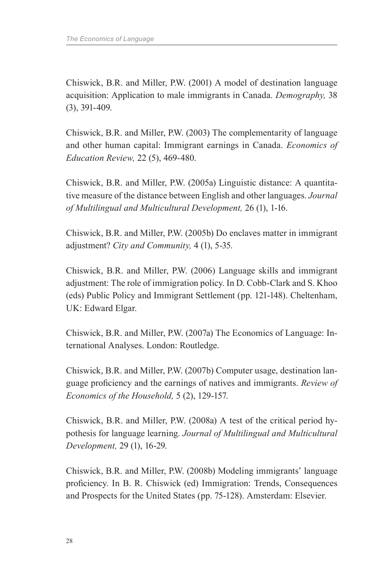Chiswick, B.R. and Miller, P.W. (2001) A model of destination language acquisition: Application to male immigrants in Canada. *Demography,* 38 (3), 391-409.

Chiswick, B.R. and Miller, P.W. (2003) The complementarity of language and other human capital: Immigrant earnings in Canada. *Economics of Education Review,* 22 (5), 469-480.

Chiswick, B.R. and Miller, P.W. (2005a) Linguistic distance: A quantitative measure of the distance between English and other languages. *Journal of Multilingual and Multicultural Development,* 26 (1), 1-16.

Chiswick, B.R. and Miller, P.W. (2005b) Do enclaves matter in immigrant adjustment? *City and Community,* 4 (1), 5-35.

Chiswick, B.R. and Miller, P.W. (2006) Language skills and immigrant adjustment: The role of immigration policy. In D. Cobb-Clark and S. Khoo (eds) Public Policy and Immigrant Settlement (pp. 121-148). Cheltenham, UK: Edward Elgar.

Chiswick, B.R. and Miller, P.W. (2007a) The Economics of Language: International Analyses. London: Routledge.

Chiswick, B.R. and Miller, P.W. (2007b) Computer usage, destination language proficiency and the earnings of natives and immigrants. *Review of Economics of the Household,* 5 (2), 129-157.

Chiswick, B.R. and Miller, P.W. (2008a) A test of the critical period hypothesis for language learning. *Journal of Multilingual and Multicultural Development,* 29 (1), 16-29.

Chiswick, B.R. and Miller, P.W. (2008b) Modeling immigrants' language proficiency. In B. R. Chiswick (ed) Immigration: Trends, Consequences and Prospects for the United States (pp. 75-128). Amsterdam: Elsevier.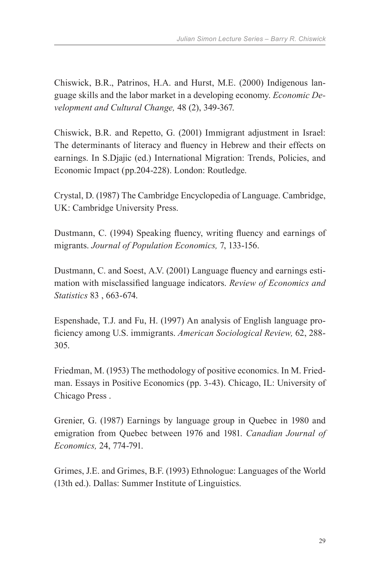Chiswick, B.R., Patrinos, H.A. and Hurst, M.E. (2000) Indigenous language skills and the labor market in a developing economy. *Economic Development and Cultural Change,* 48 (2), 349-367.

Chiswick, B.R. and Repetto, G. (2001) Immigrant adjustment in Israel: The determinants of literacy and fluency in Hebrew and their effects on earnings. In S.Djajic (ed.) International Migration: Trends, Policies, and Economic Impact (pp.204-228). London: Routledge.

Crystal, D. (1987) The Cambridge Encyclopedia of Language. Cambridge, UK: Cambridge University Press.

Dustmann, C. (1994) Speaking fluency, writing fluency and earnings of migrants. *Journal of Population Economics,* 7, 133-156.

Dustmann, C. and Soest, A.V. (2001) Language fluency and earnings estimation with misclassified language indicators. *Review of Economics and Statistics* 83 , 663-674.

Espenshade, T.J. and Fu, H. (1997) An analysis of English language proficiency among U.S. immigrants. *American Sociological Review,* 62, 288- 305.

Friedman, M. (1953) The methodology of positive economics. In M. Friedman. Essays in Positive Economics (pp. 3-43). Chicago, IL: University of Chicago Press .

Grenier, G. (1987) Earnings by language group in Quebec in 1980 and emigration from Quebec between 1976 and 1981. *Canadian Journal of Economics,* 24, 774-791.

Grimes, J.E. and Grimes, B.F. (1993) Ethnologue: Languages of the World (13th ed.). Dallas: Summer Institute of Linguistics.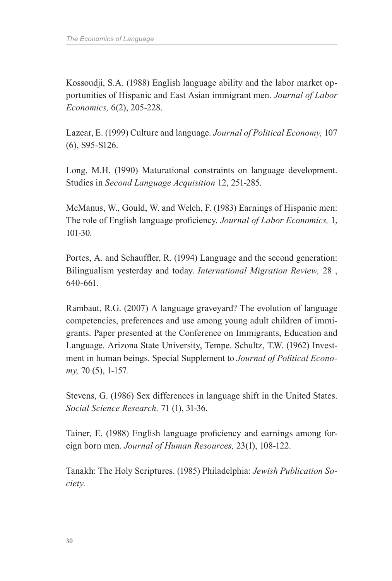Kossoudji, S.A. (1988) English language ability and the labor market opportunities of Hispanic and East Asian immigrant men. *Journal of Labor Economics,* 6(2), 205-228.

Lazear, E. (1999) Culture and language. *Journal of Political Economy,* 107 (6), S95-S126.

Long, M.H. (1990) Maturational constraints on language development. Studies in *Second Language Acquisition* 12, 251-285.

McManus, W., Gould, W. and Welch, F. (1983) Earnings of Hispanic men: The role of English language proficiency. *Journal of Labor Economics,* 1, 101-30.

Portes, A. and Schauffler, R. (1994) Language and the second generation: Bilingualism yesterday and today. *International Migration Review,* 28 , 640-661.

Rambaut, R.G. (2007) A language graveyard? The evolution of language competencies, preferences and use among young adult children of immigrants. Paper presented at the Conference on Immigrants, Education and Language. Arizona State University, Tempe. Schultz, T.W. (1962) Investment in human beings. Special Supplement to *Journal of Political Economy,* 70 (5), 1-157.

Stevens, G. (1986) Sex differences in language shift in the United States. *Social Science Research,* 71 (1), 31-36.

Tainer, E. (1988) English language proficiency and earnings among foreign born men. *Journal of Human Resources,* 23(1), 108-122.

Tanakh: The Holy Scriptures. (1985) Philadelphia: *Jewish Publication Society.*